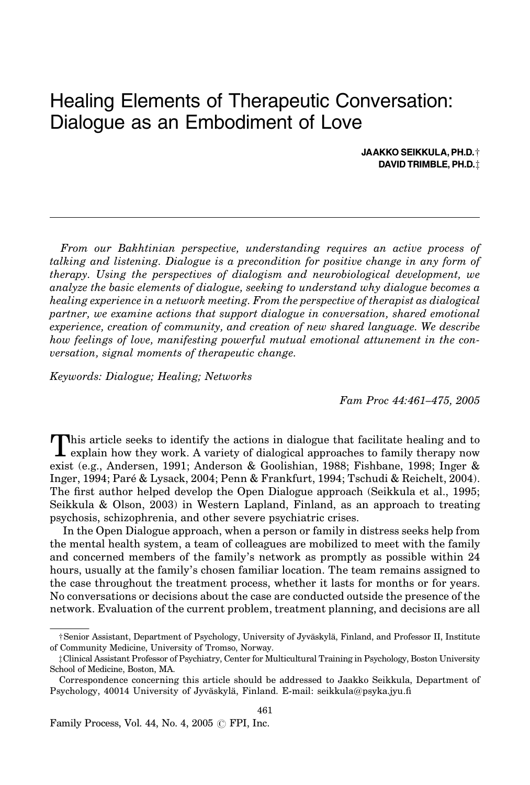# Healing Elements of Therapeutic Conversation: Dialogue as an Embodiment of Love

JAAKKO SEIKKULA, PH.D.+ DAVID TRIMBLE, PH.D.<sup>†</sup>

From our Bakhtinian perspective, understanding requires an active process of talking and listening. Dialogue is a precondition for positive change in any form of therapy. Using the perspectives of dialogism and neurobiological development, we analyze the basic elements of dialogue, seeking to understand why dialogue becomes a healing experience in a network meeting. From the perspective of therapist as dialogical partner, we examine actions that support dialogue in conversation, shared emotional experience, creation of community, and creation of new shared language. We describe how feelings of love, manifesting powerful mutual emotional attunement in the conversation, signal moments of therapeutic change.

Keywords: Dialogue; Healing; Networks

Fam Proc 44:461–475, 2005

This article seeks to identify the actions in dialogue that facilitate healing and to explain how they work. A variety of dialogical approaches to family therapy now exist (e.g., Andersen, 1991; Anderson & Goolishian, 1988; Fishbane, 1998; Inger & Inger, 1994; Pare´ & Lysack, 2004; Penn & Frankfurt, 1994; Tschudi & Reichelt, 2004). The first author helped develop the Open Dialogue approach (Seikkula et al., 1995; Seikkula & Olson, 2003) in Western Lapland, Finland, as an approach to treating psychosis, schizophrenia, and other severe psychiatric crises.

In the Open Dialogue approach, when a person or family in distress seeks help from the mental health system, a team of colleagues are mobilized to meet with the family and concerned members of the family's network as promptly as possible within 24 hours, usually at the family's chosen familiar location. The team remains assigned to the case throughout the treatment process, whether it lasts for months or for years. No conversations or decisions about the case are conducted outside the presence of the network. Evaluation of the current problem, treatment planning, and decisions are all

Family Process, Vol. 44, No. 4, 2005  $\circ$  FPI, Inc.

<sup>&</sup>lt;sup>†</sup> Senior Assistant, Department of Psychology, University of Jyväskylä, Finland, and Professor II, Institute of Community Medicine, University of Tromso, Norway.

zClinical Assistant Professor of Psychiatry, Center for Multicultural Training in Psychology, Boston University School of Medicine, Boston, MA.

Correspondence concerning this article should be addressed to Jaakko Seikkula, Department of Psychology, 40014 University of Jyväskylä, Finland. E-mail: seikkula@psyka.jyu.fi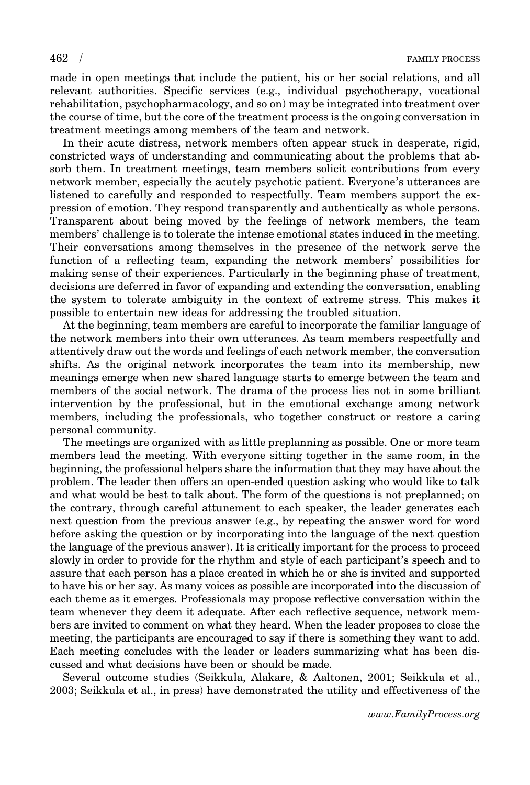made in open meetings that include the patient, his or her social relations, and all relevant authorities. Specific services (e.g., individual psychotherapy, vocational rehabilitation, psychopharmacology, and so on) may be integrated into treatment over the course of time, but the core of the treatment process is the ongoing conversation in treatment meetings among members of the team and network.

In their acute distress, network members often appear stuck in desperate, rigid, constricted ways of understanding and communicating about the problems that absorb them. In treatment meetings, team members solicit contributions from every network member, especially the acutely psychotic patient. Everyone's utterances are listened to carefully and responded to respectfully. Team members support the expression of emotion. They respond transparently and authentically as whole persons. Transparent about being moved by the feelings of network members, the team members' challenge is to tolerate the intense emotional states induced in the meeting. Their conversations among themselves in the presence of the network serve the function of a reflecting team, expanding the network members' possibilities for making sense of their experiences. Particularly in the beginning phase of treatment, decisions are deferred in favor of expanding and extending the conversation, enabling the system to tolerate ambiguity in the context of extreme stress. This makes it possible to entertain new ideas for addressing the troubled situation.

At the beginning, team members are careful to incorporate the familiar language of the network members into their own utterances. As team members respectfully and attentively draw out the words and feelings of each network member, the conversation shifts. As the original network incorporates the team into its membership, new meanings emerge when new shared language starts to emerge between the team and members of the social network. The drama of the process lies not in some brilliant intervention by the professional, but in the emotional exchange among network members, including the professionals, who together construct or restore a caring personal community.

The meetings are organized with as little preplanning as possible. One or more team members lead the meeting. With everyone sitting together in the same room, in the beginning, the professional helpers share the information that they may have about the problem. The leader then offers an open-ended question asking who would like to talk and what would be best to talk about. The form of the questions is not preplanned; on the contrary, through careful attunement to each speaker, the leader generates each next question from the previous answer (e.g., by repeating the answer word for word before asking the question or by incorporating into the language of the next question the language of the previous answer). It is critically important for the process to proceed slowly in order to provide for the rhythm and style of each participant's speech and to assure that each person has a place created in which he or she is invited and supported to have his or her say. As many voices as possible are incorporated into the discussion of each theme as it emerges. Professionals may propose reflective conversation within the team whenever they deem it adequate. After each reflective sequence, network members are invited to comment on what they heard. When the leader proposes to close the meeting, the participants are encouraged to say if there is something they want to add. Each meeting concludes with the leader or leaders summarizing what has been discussed and what decisions have been or should be made.

Several outcome studies (Seikkula, Alakare, & Aaltonen, 2001; Seikkula et al., 2003; Seikkula et al., in press) have demonstrated the utility and effectiveness of the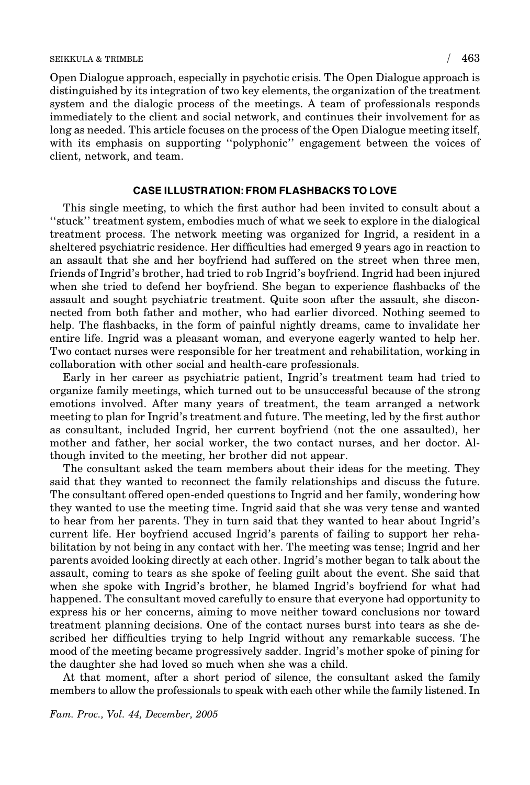Open Dialogue approach, especially in psychotic crisis. The Open Dialogue approach is distinguished by its integration of two key elements, the organization of the treatment system and the dialogic process of the meetings. A team of professionals responds immediately to the client and social network, and continues their involvement for as long as needed. This article focuses on the process of the Open Dialogue meeting itself, with its emphasis on supporting ''polyphonic'' engagement between the voices of client, network, and team.

#### CASE ILLUSTRATION: FROM FLASHBACKS TO LOVE

This single meeting, to which the first author had been invited to consult about a ''stuck'' treatment system, embodies much of what we seek to explore in the dialogical treatment process. The network meeting was organized for Ingrid, a resident in a sheltered psychiatric residence. Her difficulties had emerged 9 years ago in reaction to an assault that she and her boyfriend had suffered on the street when three men, friends of Ingrid's brother, had tried to rob Ingrid's boyfriend. Ingrid had been injured when she tried to defend her boyfriend. She began to experience flashbacks of the assault and sought psychiatric treatment. Quite soon after the assault, she disconnected from both father and mother, who had earlier divorced. Nothing seemed to help. The flashbacks, in the form of painful nightly dreams, came to invalidate her entire life. Ingrid was a pleasant woman, and everyone eagerly wanted to help her. Two contact nurses were responsible for her treatment and rehabilitation, working in collaboration with other social and health-care professionals.

Early in her career as psychiatric patient, Ingrid's treatment team had tried to organize family meetings, which turned out to be unsuccessful because of the strong emotions involved. After many years of treatment, the team arranged a network meeting to plan for Ingrid's treatment and future. The meeting, led by the first author as consultant, included Ingrid, her current boyfriend (not the one assaulted), her mother and father, her social worker, the two contact nurses, and her doctor. Although invited to the meeting, her brother did not appear.

The consultant asked the team members about their ideas for the meeting. They said that they wanted to reconnect the family relationships and discuss the future. The consultant offered open-ended questions to Ingrid and her family, wondering how they wanted to use the meeting time. Ingrid said that she was very tense and wanted to hear from her parents. They in turn said that they wanted to hear about Ingrid's current life. Her boyfriend accused Ingrid's parents of failing to support her rehabilitation by not being in any contact with her. The meeting was tense; Ingrid and her parents avoided looking directly at each other. Ingrid's mother began to talk about the assault, coming to tears as she spoke of feeling guilt about the event. She said that when she spoke with Ingrid's brother, he blamed Ingrid's boyfriend for what had happened. The consultant moved carefully to ensure that everyone had opportunity to express his or her concerns, aiming to move neither toward conclusions nor toward treatment planning decisions. One of the contact nurses burst into tears as she described her difficulties trying to help Ingrid without any remarkable success. The mood of the meeting became progressively sadder. Ingrid's mother spoke of pining for the daughter she had loved so much when she was a child.

At that moment, after a short period of silence, the consultant asked the family members to allow the professionals to speak with each other while the family listened. In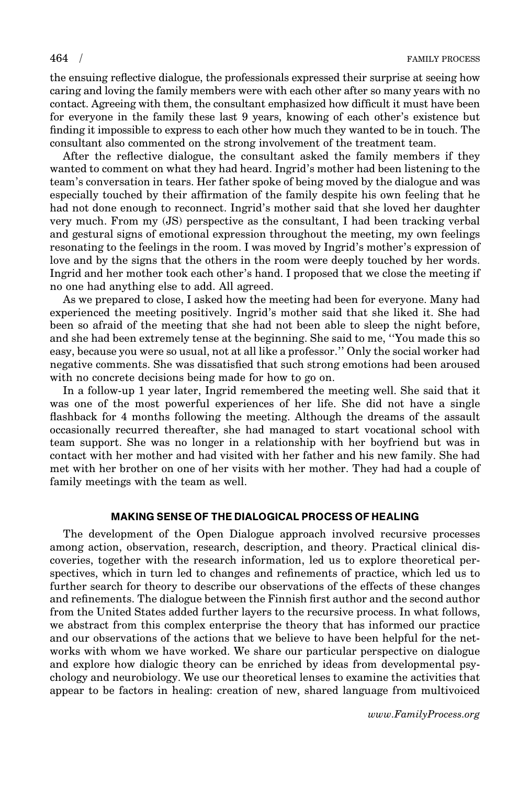the ensuing reflective dialogue, the professionals expressed their surprise at seeing how caring and loving the family members were with each other after so many years with no contact. Agreeing with them, the consultant emphasized how difficult it must have been for everyone in the family these last 9 years, knowing of each other's existence but finding it impossible to express to each other how much they wanted to be in touch. The consultant also commented on the strong involvement of the treatment team.

After the reflective dialogue, the consultant asked the family members if they wanted to comment on what they had heard. Ingrid's mother had been listening to the team's conversation in tears. Her father spoke of being moved by the dialogue and was especially touched by their affirmation of the family despite his own feeling that he had not done enough to reconnect. Ingrid's mother said that she loved her daughter very much. From my (JS) perspective as the consultant, I had been tracking verbal and gestural signs of emotional expression throughout the meeting, my own feelings resonating to the feelings in the room. I was moved by Ingrid's mother's expression of love and by the signs that the others in the room were deeply touched by her words. Ingrid and her mother took each other's hand. I proposed that we close the meeting if no one had anything else to add. All agreed.

As we prepared to close, I asked how the meeting had been for everyone. Many had experienced the meeting positively. Ingrid's mother said that she liked it. She had been so afraid of the meeting that she had not been able to sleep the night before, and she had been extremely tense at the beginning. She said to me, ''You made this so easy, because you were so usual, not at all like a professor.'' Only the social worker had negative comments. She was dissatisfied that such strong emotions had been aroused with no concrete decisions being made for how to go on.

In a follow-up 1 year later, Ingrid remembered the meeting well. She said that it was one of the most powerful experiences of her life. She did not have a single flashback for 4 months following the meeting. Although the dreams of the assault occasionally recurred thereafter, she had managed to start vocational school with team support. She was no longer in a relationship with her boyfriend but was in contact with her mother and had visited with her father and his new family. She had met with her brother on one of her visits with her mother. They had had a couple of family meetings with the team as well.

## MAKING SENSE OF THE DIALOGICAL PROCESS OF HEALING

The development of the Open Dialogue approach involved recursive processes among action, observation, research, description, and theory. Practical clinical discoveries, together with the research information, led us to explore theoretical perspectives, which in turn led to changes and refinements of practice, which led us to further search for theory to describe our observations of the effects of these changes and refinements. The dialogue between the Finnish first author and the second author from the United States added further layers to the recursive process. In what follows, we abstract from this complex enterprise the theory that has informed our practice and our observations of the actions that we believe to have been helpful for the networks with whom we have worked. We share our particular perspective on dialogue and explore how dialogic theory can be enriched by ideas from developmental psychology and neurobiology. We use our theoretical lenses to examine the activities that appear to be factors in healing: creation of new, shared language from multivoiced

www.FamilyProcess.org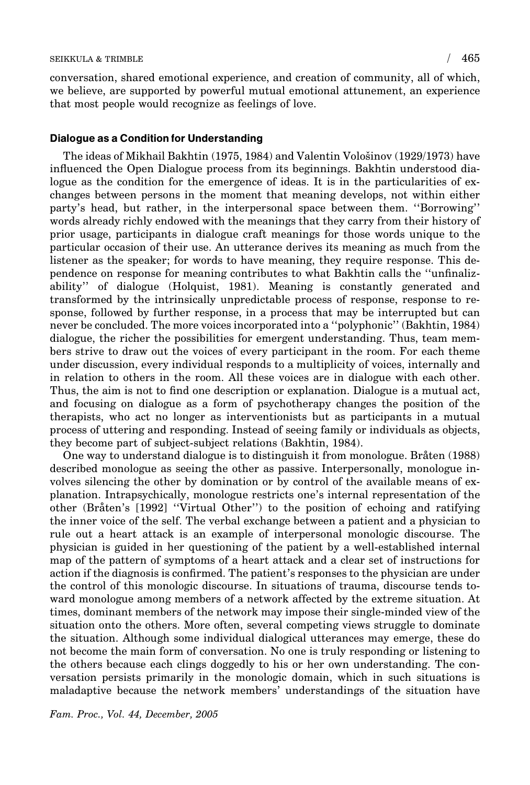conversation, shared emotional experience, and creation of community, all of which, we believe, are supported by powerful mutual emotional attunement, an experience that most people would recognize as feelings of love.

### Dialogue as a Condition for Understanding

The ideas of Mikhail Bakhtin (1975, 1984) and Valentin Vološinov (1929/1973) have influenced the Open Dialogue process from its beginnings. Bakhtin understood dialogue as the condition for the emergence of ideas. It is in the particularities of exchanges between persons in the moment that meaning develops, not within either party's head, but rather, in the interpersonal space between them. ''Borrowing'' words already richly endowed with the meanings that they carry from their history of prior usage, participants in dialogue craft meanings for those words unique to the particular occasion of their use. An utterance derives its meaning as much from the listener as the speaker; for words to have meaning, they require response. This dependence on response for meaning contributes to what Bakhtin calls the ''unfinalizability'' of dialogue (Holquist, 1981). Meaning is constantly generated and transformed by the intrinsically unpredictable process of response, response to response, followed by further response, in a process that may be interrupted but can never be concluded. The more voices incorporated into a ''polyphonic'' (Bakhtin, 1984) dialogue, the richer the possibilities for emergent understanding. Thus, team members strive to draw out the voices of every participant in the room. For each theme under discussion, every individual responds to a multiplicity of voices, internally and in relation to others in the room. All these voices are in dialogue with each other. Thus, the aim is not to find one description or explanation. Dialogue is a mutual act, and focusing on dialogue as a form of psychotherapy changes the position of the therapists, who act no longer as interventionists but as participants in a mutual process of uttering and responding. Instead of seeing family or individuals as objects, they become part of subject-subject relations (Bakhtin, 1984).

One way to understand dialogue is to distinguish it from monologue. Bråten (1988) described monologue as seeing the other as passive. Interpersonally, monologue involves silencing the other by domination or by control of the available means of explanation. Intrapsychically, monologue restricts one's internal representation of the other (Bra˚ten's [1992] ''Virtual Other'') to the position of echoing and ratifying the inner voice of the self. The verbal exchange between a patient and a physician to rule out a heart attack is an example of interpersonal monologic discourse. The physician is guided in her questioning of the patient by a well-established internal map of the pattern of symptoms of a heart attack and a clear set of instructions for action if the diagnosis is confirmed. The patient's responses to the physician are under the control of this monologic discourse. In situations of trauma, discourse tends toward monologue among members of a network affected by the extreme situation. At times, dominant members of the network may impose their single-minded view of the situation onto the others. More often, several competing views struggle to dominate the situation. Although some individual dialogical utterances may emerge, these do not become the main form of conversation. No one is truly responding or listening to the others because each clings doggedly to his or her own understanding. The conversation persists primarily in the monologic domain, which in such situations is maladaptive because the network members' understandings of the situation have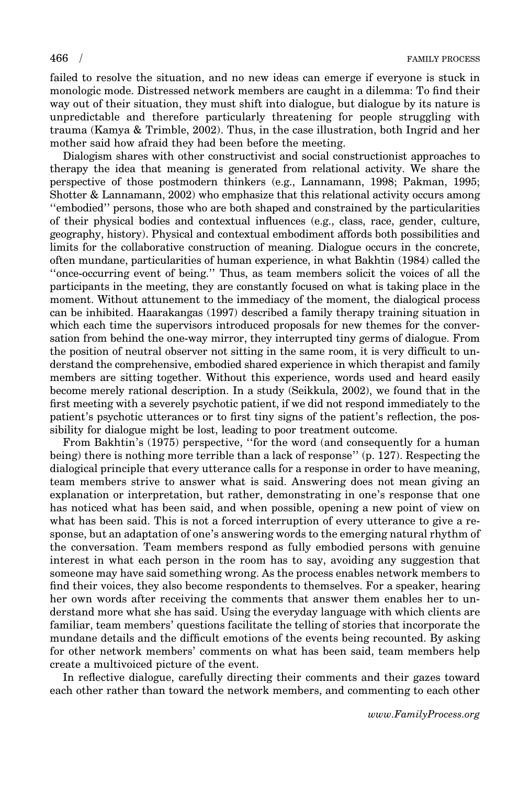failed to resolve the situation, and no new ideas can emerge if everyone is stuck in monologic mode. Distressed network members are caught in a dilemma: To find their way out of their situation, they must shift into dialogue, but dialogue by its nature is unpredictable and therefore particularly threatening for people struggling with trauma (Kamya & Trimble, 2002). Thus, in the case illustration, both Ingrid and her mother said how afraid they had been before the meeting.

Dialogism shares with other constructivist and social constructionist approaches to therapy the idea that meaning is generated from relational activity. We share the perspective of those postmodern thinkers (e.g., Lannamann, 1998; Pakman, 1995; Shotter & Lannamann, 2002) who emphasize that this relational activity occurs among ''embodied'' persons, those who are both shaped and constrained by the particularities of their physical bodies and contextual influences (e.g., class, race, gender, culture, geography, history). Physical and contextual embodiment affords both possibilities and limits for the collaborative construction of meaning. Dialogue occurs in the concrete, often mundane, particularities of human experience, in what Bakhtin (1984) called the ''once-occurring event of being.'' Thus, as team members solicit the voices of all the participants in the meeting, they are constantly focused on what is taking place in the moment. Without attunement to the immediacy of the moment, the dialogical process can be inhibited. Haarakangas (1997) described a family therapy training situation in which each time the supervisors introduced proposals for new themes for the conversation from behind the one-way mirror, they interrupted tiny germs of dialogue. From the position of neutral observer not sitting in the same room, it is very difficult to understand the comprehensive, embodied shared experience in which therapist and family members are sitting together. Without this experience, words used and heard easily become merely rational description. In a study (Seikkula, 2002), we found that in the first meeting with a severely psychotic patient, if we did not respond immediately to the patient's psychotic utterances or to first tiny signs of the patient's reflection, the possibility for dialogue might be lost, leading to poor treatment outcome.

From Bakhtin's (1975) perspective, ''for the word (and consequently for a human being) there is nothing more terrible than a lack of response'' (p. 127). Respecting the dialogical principle that every utterance calls for a response in order to have meaning, team members strive to answer what is said. Answering does not mean giving an explanation or interpretation, but rather, demonstrating in one's response that one has noticed what has been said, and when possible, opening a new point of view on what has been said. This is not a forced interruption of every utterance to give a response, but an adaptation of one's answering words to the emerging natural rhythm of the conversation. Team members respond as fully embodied persons with genuine interest in what each person in the room has to say, avoiding any suggestion that someone may have said something wrong. As the process enables network members to find their voices, they also become respondents to themselves. For a speaker, hearing her own words after receiving the comments that answer them enables her to understand more what she has said. Using the everyday language with which clients are familiar, team members' questions facilitate the telling of stories that incorporate the mundane details and the difficult emotions of the events being recounted. By asking for other network members' comments on what has been said, team members help create a multivoiced picture of the event.

In reflective dialogue, carefully directing their comments and their gazes toward each other rather than toward the network members, and commenting to each other

www.FamilyProcess.org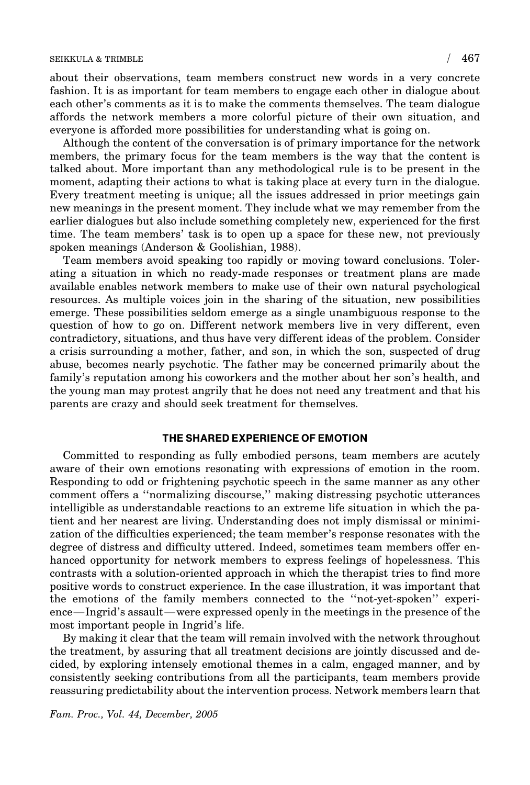about their observations, team members construct new words in a very concrete fashion. It is as important for team members to engage each other in dialogue about each other's comments as it is to make the comments themselves. The team dialogue affords the network members a more colorful picture of their own situation, and everyone is afforded more possibilities for understanding what is going on.

Although the content of the conversation is of primary importance for the network members, the primary focus for the team members is the way that the content is talked about. More important than any methodological rule is to be present in the moment, adapting their actions to what is taking place at every turn in the dialogue. Every treatment meeting is unique; all the issues addressed in prior meetings gain new meanings in the present moment. They include what we may remember from the earlier dialogues but also include something completely new, experienced for the first time. The team members' task is to open up a space for these new, not previously spoken meanings (Anderson & Goolishian, 1988).

Team members avoid speaking too rapidly or moving toward conclusions. Tolerating a situation in which no ready-made responses or treatment plans are made available enables network members to make use of their own natural psychological resources. As multiple voices join in the sharing of the situation, new possibilities emerge. These possibilities seldom emerge as a single unambiguous response to the question of how to go on. Different network members live in very different, even contradictory, situations, and thus have very different ideas of the problem. Consider a crisis surrounding a mother, father, and son, in which the son, suspected of drug abuse, becomes nearly psychotic. The father may be concerned primarily about the family's reputation among his coworkers and the mother about her son's health, and the young man may protest angrily that he does not need any treatment and that his parents are crazy and should seek treatment for themselves.

#### THE SHARED EXPERIENCE OF EMOTION

Committed to responding as fully embodied persons, team members are acutely aware of their own emotions resonating with expressions of emotion in the room. Responding to odd or frightening psychotic speech in the same manner as any other comment offers a ''normalizing discourse,'' making distressing psychotic utterances intelligible as understandable reactions to an extreme life situation in which the patient and her nearest are living. Understanding does not imply dismissal or minimization of the difficulties experienced; the team member's response resonates with the degree of distress and difficulty uttered. Indeed, sometimes team members offer enhanced opportunity for network members to express feelings of hopelessness. This contrasts with a solution-oriented approach in which the therapist tries to find more positive words to construct experience. In the case illustration, it was important that the emotions of the family members connected to the ''not-yet-spoken'' experience—Ingrid's assault—were expressed openly in the meetings in the presence of the most important people in Ingrid's life.

By making it clear that the team will remain involved with the network throughout the treatment, by assuring that all treatment decisions are jointly discussed and decided, by exploring intensely emotional themes in a calm, engaged manner, and by consistently seeking contributions from all the participants, team members provide reassuring predictability about the intervention process. Network members learn that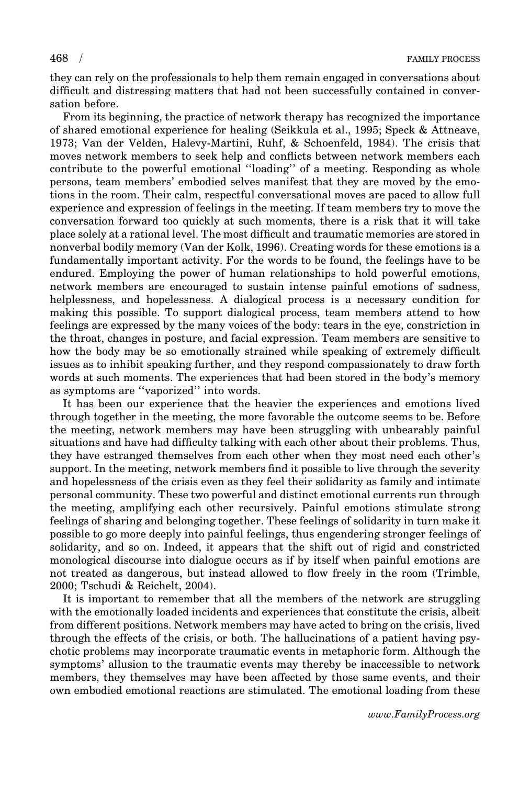they can rely on the professionals to help them remain engaged in conversations about difficult and distressing matters that had not been successfully contained in conversation before.

From its beginning, the practice of network therapy has recognized the importance of shared emotional experience for healing (Seikkula et al., 1995; Speck & Attneave, 1973; Van der Velden, Halevy-Martini, Ruhf, & Schoenfeld, 1984). The crisis that moves network members to seek help and conflicts between network members each contribute to the powerful emotional ''loading'' of a meeting. Responding as whole persons, team members' embodied selves manifest that they are moved by the emotions in the room. Their calm, respectful conversational moves are paced to allow full experience and expression of feelings in the meeting. If team members try to move the conversation forward too quickly at such moments, there is a risk that it will take place solely at a rational level. The most difficult and traumatic memories are stored in nonverbal bodily memory (Van der Kolk, 1996). Creating words for these emotions is a fundamentally important activity. For the words to be found, the feelings have to be endured. Employing the power of human relationships to hold powerful emotions, network members are encouraged to sustain intense painful emotions of sadness, helplessness, and hopelessness. A dialogical process is a necessary condition for making this possible. To support dialogical process, team members attend to how feelings are expressed by the many voices of the body: tears in the eye, constriction in the throat, changes in posture, and facial expression. Team members are sensitive to how the body may be so emotionally strained while speaking of extremely difficult issues as to inhibit speaking further, and they respond compassionately to draw forth words at such moments. The experiences that had been stored in the body's memory as symptoms are ''vaporized'' into words.

It has been our experience that the heavier the experiences and emotions lived through together in the meeting, the more favorable the outcome seems to be. Before the meeting, network members may have been struggling with unbearably painful situations and have had difficulty talking with each other about their problems. Thus, they have estranged themselves from each other when they most need each other's support. In the meeting, network members find it possible to live through the severity and hopelessness of the crisis even as they feel their solidarity as family and intimate personal community. These two powerful and distinct emotional currents run through the meeting, amplifying each other recursively. Painful emotions stimulate strong feelings of sharing and belonging together. These feelings of solidarity in turn make it possible to go more deeply into painful feelings, thus engendering stronger feelings of solidarity, and so on. Indeed, it appears that the shift out of rigid and constricted monological discourse into dialogue occurs as if by itself when painful emotions are not treated as dangerous, but instead allowed to flow freely in the room (Trimble, 2000; Tschudi & Reichelt, 2004).

It is important to remember that all the members of the network are struggling with the emotionally loaded incidents and experiences that constitute the crisis, albeit from different positions. Network members may have acted to bring on the crisis, lived through the effects of the crisis, or both. The hallucinations of a patient having psychotic problems may incorporate traumatic events in metaphoric form. Although the symptoms' allusion to the traumatic events may thereby be inaccessible to network members, they themselves may have been affected by those same events, and their own embodied emotional reactions are stimulated. The emotional loading from these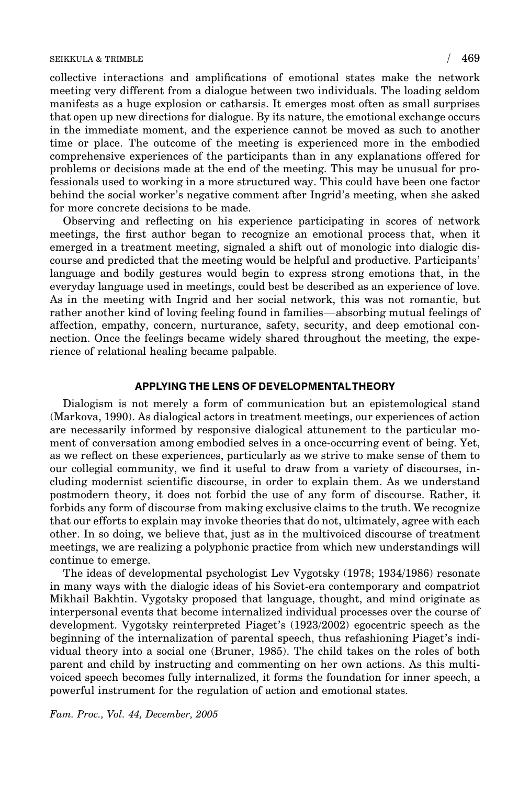collective interactions and amplifications of emotional states make the network meeting very different from a dialogue between two individuals. The loading seldom manifests as a huge explosion or catharsis. It emerges most often as small surprises that open up new directions for dialogue. By its nature, the emotional exchange occurs in the immediate moment, and the experience cannot be moved as such to another time or place. The outcome of the meeting is experienced more in the embodied comprehensive experiences of the participants than in any explanations offered for problems or decisions made at the end of the meeting. This may be unusual for professionals used to working in a more structured way. This could have been one factor behind the social worker's negative comment after Ingrid's meeting, when she asked for more concrete decisions to be made.

Observing and reflecting on his experience participating in scores of network meetings, the first author began to recognize an emotional process that, when it emerged in a treatment meeting, signaled a shift out of monologic into dialogic discourse and predicted that the meeting would be helpful and productive. Participants' language and bodily gestures would begin to express strong emotions that, in the everyday language used in meetings, could best be described as an experience of love. As in the meeting with Ingrid and her social network, this was not romantic, but rather another kind of loving feeling found in families—absorbing mutual feelings of affection, empathy, concern, nurturance, safety, security, and deep emotional connection. Once the feelings became widely shared throughout the meeting, the experience of relational healing became palpable.

### APPLYING THE LENS OF DEVELOPMENTALTHEORY

Dialogism is not merely a form of communication but an epistemological stand (Markova, 1990). As dialogical actors in treatment meetings, our experiences of action are necessarily informed by responsive dialogical attunement to the particular moment of conversation among embodied selves in a once-occurring event of being. Yet, as we reflect on these experiences, particularly as we strive to make sense of them to our collegial community, we find it useful to draw from a variety of discourses, including modernist scientific discourse, in order to explain them. As we understand postmodern theory, it does not forbid the use of any form of discourse. Rather, it forbids any form of discourse from making exclusive claims to the truth. We recognize that our efforts to explain may invoke theories that do not, ultimately, agree with each other. In so doing, we believe that, just as in the multivoiced discourse of treatment meetings, we are realizing a polyphonic practice from which new understandings will continue to emerge.

The ideas of developmental psychologist Lev Vygotsky (1978; 1934/1986) resonate in many ways with the dialogic ideas of his Soviet-era contemporary and compatriot Mikhail Bakhtin. Vygotsky proposed that language, thought, and mind originate as interpersonal events that become internalized individual processes over the course of development. Vygotsky reinterpreted Piaget's (1923/2002) egocentric speech as the beginning of the internalization of parental speech, thus refashioning Piaget's individual theory into a social one (Bruner, 1985). The child takes on the roles of both parent and child by instructing and commenting on her own actions. As this multivoiced speech becomes fully internalized, it forms the foundation for inner speech, a powerful instrument for the regulation of action and emotional states.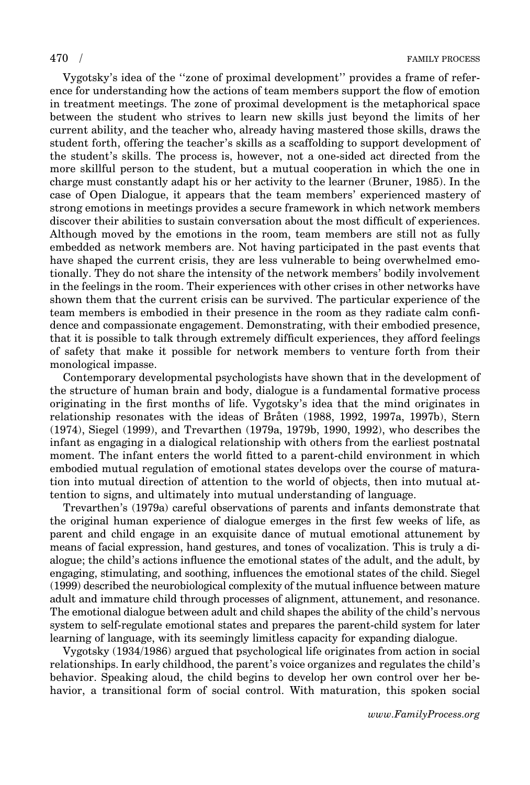Vygotsky's idea of the ''zone of proximal development'' provides a frame of reference for understanding how the actions of team members support the flow of emotion in treatment meetings. The zone of proximal development is the metaphorical space between the student who strives to learn new skills just beyond the limits of her current ability, and the teacher who, already having mastered those skills, draws the student forth, offering the teacher's skills as a scaffolding to support development of the student's skills. The process is, however, not a one-sided act directed from the more skillful person to the student, but a mutual cooperation in which the one in charge must constantly adapt his or her activity to the learner (Bruner, 1985). In the case of Open Dialogue, it appears that the team members' experienced mastery of strong emotions in meetings provides a secure framework in which network members discover their abilities to sustain conversation about the most difficult of experiences. Although moved by the emotions in the room, team members are still not as fully embedded as network members are. Not having participated in the past events that have shaped the current crisis, they are less vulnerable to being overwhelmed emotionally. They do not share the intensity of the network members' bodily involvement in the feelings in the room. Their experiences with other crises in other networks have shown them that the current crisis can be survived. The particular experience of the team members is embodied in their presence in the room as they radiate calm confidence and compassionate engagement. Demonstrating, with their embodied presence, that it is possible to talk through extremely difficult experiences, they afford feelings of safety that make it possible for network members to venture forth from their monological impasse.

Contemporary developmental psychologists have shown that in the development of the structure of human brain and body, dialogue is a fundamental formative process originating in the first months of life. Vygotsky's idea that the mind originates in relationship resonates with the ideas of Bråten (1988, 1992, 1997a, 1997b), Stern (1974), Siegel (1999), and Trevarthen (1979a, 1979b, 1990, 1992), who describes the infant as engaging in a dialogical relationship with others from the earliest postnatal moment. The infant enters the world fitted to a parent-child environment in which embodied mutual regulation of emotional states develops over the course of maturation into mutual direction of attention to the world of objects, then into mutual attention to signs, and ultimately into mutual understanding of language.

Trevarthen's (1979a) careful observations of parents and infants demonstrate that the original human experience of dialogue emerges in the first few weeks of life, as parent and child engage in an exquisite dance of mutual emotional attunement by means of facial expression, hand gestures, and tones of vocalization. This is truly a dialogue; the child's actions influence the emotional states of the adult, and the adult, by engaging, stimulating, and soothing, influences the emotional states of the child. Siegel (1999) described the neurobiological complexity of the mutual influence between mature adult and immature child through processes of alignment, attunement, and resonance. The emotional dialogue between adult and child shapes the ability of the child's nervous system to self-regulate emotional states and prepares the parent-child system for later learning of language, with its seemingly limitless capacity for expanding dialogue.

Vygotsky (1934/1986) argued that psychological life originates from action in social relationships. In early childhood, the parent's voice organizes and regulates the child's behavior. Speaking aloud, the child begins to develop her own control over her behavior, a transitional form of social control. With maturation, this spoken social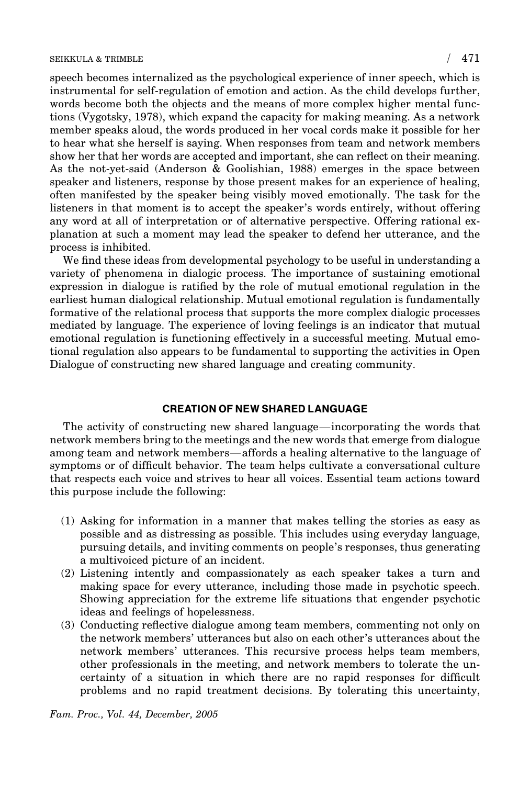speech becomes internalized as the psychological experience of inner speech, which is instrumental for self-regulation of emotion and action. As the child develops further, words become both the objects and the means of more complex higher mental functions (Vygotsky, 1978), which expand the capacity for making meaning. As a network member speaks aloud, the words produced in her vocal cords make it possible for her to hear what she herself is saying. When responses from team and network members show her that her words are accepted and important, she can reflect on their meaning. As the not-yet-said (Anderson & Goolishian, 1988) emerges in the space between speaker and listeners, response by those present makes for an experience of healing, often manifested by the speaker being visibly moved emotionally. The task for the

listeners in that moment is to accept the speaker's words entirely, without offering any word at all of interpretation or of alternative perspective. Offering rational explanation at such a moment may lead the speaker to defend her utterance, and the process is inhibited.

We find these ideas from developmental psychology to be useful in understanding a variety of phenomena in dialogic process. The importance of sustaining emotional expression in dialogue is ratified by the role of mutual emotional regulation in the earliest human dialogical relationship. Mutual emotional regulation is fundamentally formative of the relational process that supports the more complex dialogic processes mediated by language. The experience of loving feelings is an indicator that mutual emotional regulation is functioning effectively in a successful meeting. Mutual emotional regulation also appears to be fundamental to supporting the activities in Open Dialogue of constructing new shared language and creating community.

### CREATION OF NEW SHARED LANGUAGE

The activity of constructing new shared language—incorporating the words that network members bring to the meetings and the new words that emerge from dialogue among team and network members—affords a healing alternative to the language of symptoms or of difficult behavior. The team helps cultivate a conversational culture that respects each voice and strives to hear all voices. Essential team actions toward this purpose include the following:

- (1) Asking for information in a manner that makes telling the stories as easy as possible and as distressing as possible. This includes using everyday language, pursuing details, and inviting comments on people's responses, thus generating a multivoiced picture of an incident.
- (2) Listening intently and compassionately as each speaker takes a turn and making space for every utterance, including those made in psychotic speech. Showing appreciation for the extreme life situations that engender psychotic ideas and feelings of hopelessness.
- (3) Conducting reflective dialogue among team members, commenting not only on the network members' utterances but also on each other's utterances about the network members' utterances. This recursive process helps team members, other professionals in the meeting, and network members to tolerate the uncertainty of a situation in which there are no rapid responses for difficult problems and no rapid treatment decisions. By tolerating this uncertainty,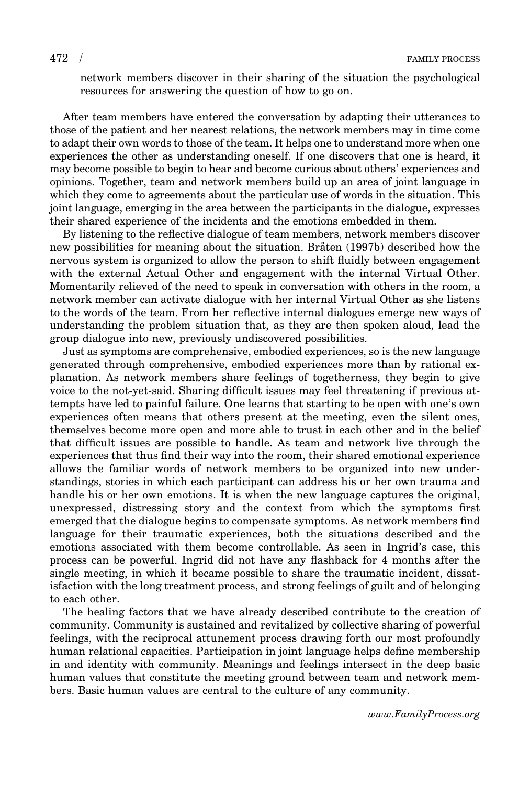network members discover in their sharing of the situation the psychological resources for answering the question of how to go on.

After team members have entered the conversation by adapting their utterances to those of the patient and her nearest relations, the network members may in time come to adapt their own words to those of the team. It helps one to understand more when one experiences the other as understanding oneself. If one discovers that one is heard, it may become possible to begin to hear and become curious about others' experiences and opinions. Together, team and network members build up an area of joint language in which they come to agreements about the particular use of words in the situation. This joint language, emerging in the area between the participants in the dialogue, expresses their shared experience of the incidents and the emotions embedded in them.

By listening to the reflective dialogue of team members, network members discover new possibilities for meaning about the situation. Bråten (1997b) described how the nervous system is organized to allow the person to shift fluidly between engagement with the external Actual Other and engagement with the internal Virtual Other. Momentarily relieved of the need to speak in conversation with others in the room, a network member can activate dialogue with her internal Virtual Other as she listens to the words of the team. From her reflective internal dialogues emerge new ways of understanding the problem situation that, as they are then spoken aloud, lead the group dialogue into new, previously undiscovered possibilities.

Just as symptoms are comprehensive, embodied experiences, so is the new language generated through comprehensive, embodied experiences more than by rational explanation. As network members share feelings of togetherness, they begin to give voice to the not-yet-said. Sharing difficult issues may feel threatening if previous attempts have led to painful failure. One learns that starting to be open with one's own experiences often means that others present at the meeting, even the silent ones, themselves become more open and more able to trust in each other and in the belief that difficult issues are possible to handle. As team and network live through the experiences that thus find their way into the room, their shared emotional experience allows the familiar words of network members to be organized into new understandings, stories in which each participant can address his or her own trauma and handle his or her own emotions. It is when the new language captures the original, unexpressed, distressing story and the context from which the symptoms first emerged that the dialogue begins to compensate symptoms. As network members find language for their traumatic experiences, both the situations described and the emotions associated with them become controllable. As seen in Ingrid's case, this process can be powerful. Ingrid did not have any flashback for 4 months after the single meeting, in which it became possible to share the traumatic incident, dissatisfaction with the long treatment process, and strong feelings of guilt and of belonging to each other.

The healing factors that we have already described contribute to the creation of community. Community is sustained and revitalized by collective sharing of powerful feelings, with the reciprocal attunement process drawing forth our most profoundly human relational capacities. Participation in joint language helps define membership in and identity with community. Meanings and feelings intersect in the deep basic human values that constitute the meeting ground between team and network members. Basic human values are central to the culture of any community.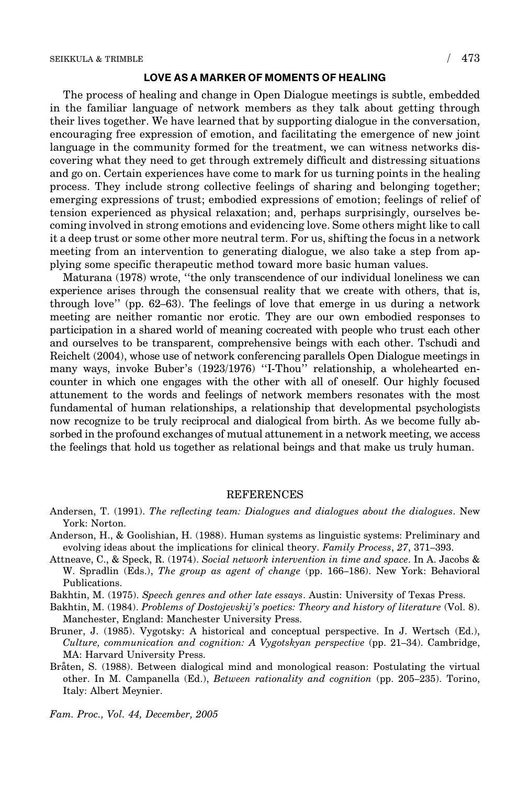#### LOVE AS A MARKER OF MOMENTS OF HEALING

The process of healing and change in Open Dialogue meetings is subtle, embedded in the familiar language of network members as they talk about getting through their lives together. We have learned that by supporting dialogue in the conversation, encouraging free expression of emotion, and facilitating the emergence of new joint language in the community formed for the treatment, we can witness networks discovering what they need to get through extremely difficult and distressing situations and go on. Certain experiences have come to mark for us turning points in the healing process. They include strong collective feelings of sharing and belonging together; emerging expressions of trust; embodied expressions of emotion; feelings of relief of tension experienced as physical relaxation; and, perhaps surprisingly, ourselves becoming involved in strong emotions and evidencing love. Some others might like to call it a deep trust or some other more neutral term. For us, shifting the focus in a network meeting from an intervention to generating dialogue, we also take a step from applying some specific therapeutic method toward more basic human values.

Maturana (1978) wrote, ''the only transcendence of our individual loneliness we can experience arises through the consensual reality that we create with others, that is, through love'' (pp. 62–63). The feelings of love that emerge in us during a network meeting are neither romantic nor erotic. They are our own embodied responses to participation in a shared world of meaning cocreated with people who trust each other and ourselves to be transparent, comprehensive beings with each other. Tschudi and Reichelt (2004), whose use of network conferencing parallels Open Dialogue meetings in many ways, invoke Buber's (1923/1976) ''I-Thou'' relationship, a wholehearted encounter in which one engages with the other with all of oneself. Our highly focused attunement to the words and feelings of network members resonates with the most fundamental of human relationships, a relationship that developmental psychologists now recognize to be truly reciprocal and dialogical from birth. As we become fully absorbed in the profound exchanges of mutual attunement in a network meeting, we access the feelings that hold us together as relational beings and that make us truly human.

#### **REFERENCES**

- Andersen, T. (1991). The reflecting team: Dialogues and dialogues about the dialogues. New York: Norton.
- Anderson, H., & Goolishian, H. (1988). Human systems as linguistic systems: Preliminary and evolving ideas about the implications for clinical theory. Family Process, 27, 371–393.
- Attneave, C., & Speck, R. (1974). Social network intervention in time and space. In A. Jacobs & W. Spradlin (Eds.), The group as agent of change (pp. 166–186). New York: Behavioral Publications.

Bakhtin, M. (1975). Speech genres and other late essays. Austin: University of Texas Press.

Bakhtin, M. (1984). Problems of Dostojevskij's poetics: Theory and history of literature (Vol. 8). Manchester, England: Manchester University Press.

- Bruner, J. (1985). Vygotsky: A historical and conceptual perspective. In J. Wertsch (Ed.), Culture, communication and cognition: A Vygotskyan perspective (pp. 21–34). Cambridge, MA: Harvard University Press.
- Bråten, S. (1988). Between dialogical mind and monological reason: Postulating the virtual other. In M. Campanella (Ed.), Between rationality and cognition (pp. 205–235). Torino, Italy: Albert Meynier.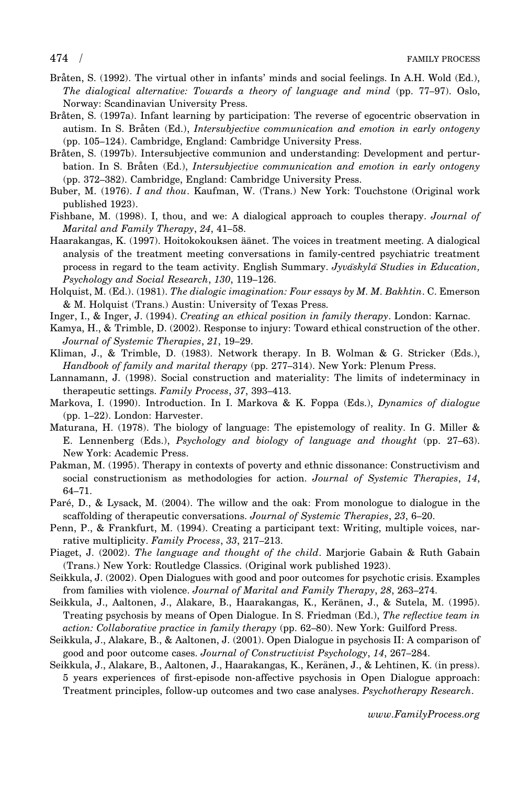### 474 / FAMILY PROCESS

- Bråten, S. (1992). The virtual other in infants' minds and social feelings. In A.H. Wold (Ed.), The dialogical alternative: Towards a theory of language and mind (pp. 77–97). Oslo, Norway: Scandinavian University Press.
- Bråten, S. (1997a). Infant learning by participation: The reverse of egocentric observation in autism. In S. Bråten (Ed.), Intersubjective communication and emotion in early ontogeny (pp. 105–124). Cambridge, England: Cambridge University Press.
- Bråten, S. (1997b). Intersubjective communion and understanding: Development and perturbation. In S. Bråten (Ed.), Intersubjective communication and emotion in early ontogeny (pp. 372–382). Cambridge, England: Cambridge University Press.
- Buber, M. (1976). I and thou. Kaufman, W. (Trans.) New York: Touchstone (Original work published 1923).
- Fishbane, M. (1998). I, thou, and we: A dialogical approach to couples therapy. Journal of Marital and Family Therapy, 24, 41–58.
- Haarakangas, K. (1997). Hoitokokouksen äänet. The voices in treatment meeting. A dialogical analysis of the treatment meeting conversations in family-centred psychiatric treatment process in regard to the team activity. English Summary. Jyvaskyla Studies in Education, Psychology and Social Research, 130, 119–126.
- Holquist, M. (Ed.). (1981). The dialogic imagination: Four essays by M. M. Bakhtin. C. Emerson & M. Holquist (Trans.) Austin: University of Texas Press.
- Inger, I., & Inger, J. (1994). Creating an ethical position in family therapy. London: Karnac.
- Kamya, H., & Trimble, D. (2002). Response to injury: Toward ethical construction of the other. Journal of Systemic Therapies, 21, 19–29.
- Kliman, J., & Trimble, D. (1983). Network therapy. In B. Wolman & G. Stricker (Eds.), Handbook of family and marital therapy (pp. 277-314). New York: Plenum Press.
- Lannamann, J. (1998). Social construction and materiality: The limits of indeterminacy in therapeutic settings. Family Process, 37, 393–413.
- Markova, I. (1990). Introduction. In I. Markova & K. Foppa (Eds.), Dynamics of dialogue (pp. 1–22). London: Harvester.
- Maturana, H. (1978). The biology of language: The epistemology of reality. In G. Miller & E. Lennenberg (Eds.), Psychology and biology of language and thought (pp. 27–63). New York: Academic Press.
- Pakman, M. (1995). Therapy in contexts of poverty and ethnic dissonance: Constructivism and social constructionism as methodologies for action. Journal of Systemic Therapies, 14, 64–71.
- Paré, D., & Lysack, M. (2004). The willow and the oak: From monologue to dialogue in the scaffolding of therapeutic conversations. Journal of Systemic Therapies, 23, 6–20.
- Penn, P., & Frankfurt, M. (1994). Creating a participant text: Writing, multiple voices, narrative multiplicity. Family Process, 33, 217-213.
- Piaget, J. (2002). The language and thought of the child. Marjorie Gabain & Ruth Gabain (Trans.) New York: Routledge Classics. (Original work published 1923).
- Seikkula, J. (2002). Open Dialogues with good and poor outcomes for psychotic crisis. Examples from families with violence. Journal of Marital and Family Therapy, 28, 263-274.
- Seikkula, J., Aaltonen, J., Alakare, B., Haarakangas, K., Keränen, J., & Sutela, M. (1995). Treating psychosis by means of Open Dialogue. In S. Friedman (Ed.), The reflective team in action: Collaborative practice in family therapy (pp. 62–80). New York: Guilford Press.
- Seikkula, J., Alakare, B., & Aaltonen, J. (2001). Open Dialogue in psychosis II: A comparison of good and poor outcome cases. Journal of Constructivist Psychology, 14, 267–284.
- Seikkula, J., Alakare, B., Aaltonen, J., Haarakangas, K., Keränen, J., & Lehtinen, K. (in press). 5 years experiences of first-episode non-affective psychosis in Open Dialogue approach: Treatment principles, follow-up outcomes and two case analyses. Psychotherapy Research.